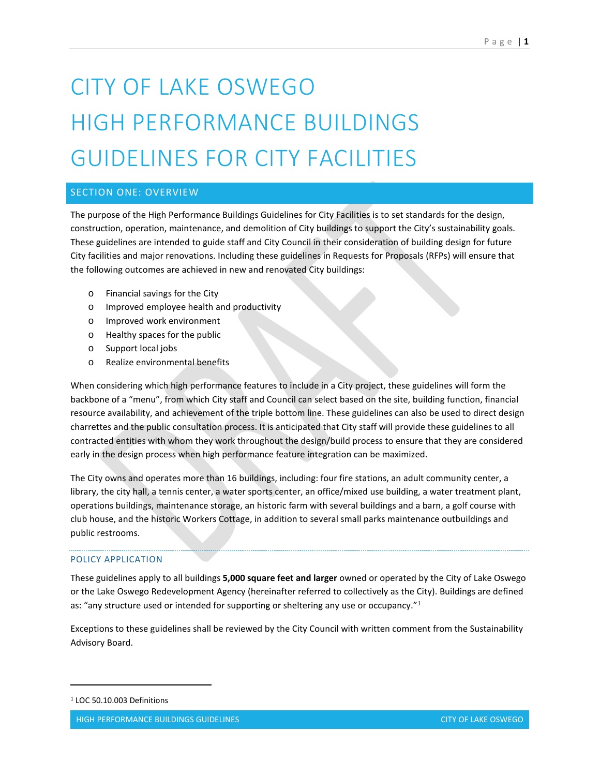# CITY OF LAKE OSWEGO HIGH PERFORMANCE BUILDINGS GUIDELINES FOR CITY FACILITIES

# SECTION ONE: OVERVIEW

The purpose of the High Performance Buildings Guidelines for City Facilities is to set standards for the design, construction, operation, maintenance, and demolition of City buildings to support the City's sustainability goals. These guidelines are intended to guide staff and City Council in their consideration of building design for future City facilities and major renovations. Including these guidelines in Requests for Proposals (RFPs) will ensure that the following outcomes are achieved in new and renovated City buildings:

- o Financial savings for the City
- o Improved employee health and productivity
- o Improved work environment
- o Healthy spaces for the public
- o Support local jobs
- o Realize environmental benefits

When considering which high performance features to include in a City project, these guidelines will form the backbone of a "menu", from which City staff and Council can select based on the site, building function, financial resource availability, and achievement of the triple bottom line. These guidelines can also be used to direct design charrettes and the public consultation process. It is anticipated that City staff will provide these guidelines to all contracted entities with whom they work throughout the design/build process to ensure that they are considered early in the design process when high performance feature integration can be maximized.

The City owns and operates more than 16 buildings, including: four fire stations, an adult community center, a library, the city hall, a tennis center, a water sports center, an office/mixed use building, a water treatment plant, operations buildings, maintenance storage, an historic farm with several buildings and a barn, a golf course with club house, and the historic Workers Cottage, in addition to several small parks maintenance outbuildings and public restrooms.

# POLICY APPLICATION

These guidelines apply to all buildings **5,000 square feet and larger** owned or operated by the City of Lake Oswego or the Lake Oswego Redevelopment Agency (hereinafter referred to collectively as the City). Buildings are defined as: "any structure used or intended for supporting or sheltering any use or occupancy."<sup>[1](#page-0-0)</sup>

Exceptions to these guidelines shall be reviewed by the City Council with written comment from the Sustainability Advisory Board.

<span id="page-0-0"></span><sup>1</sup> LOC 50.10.003 Definitions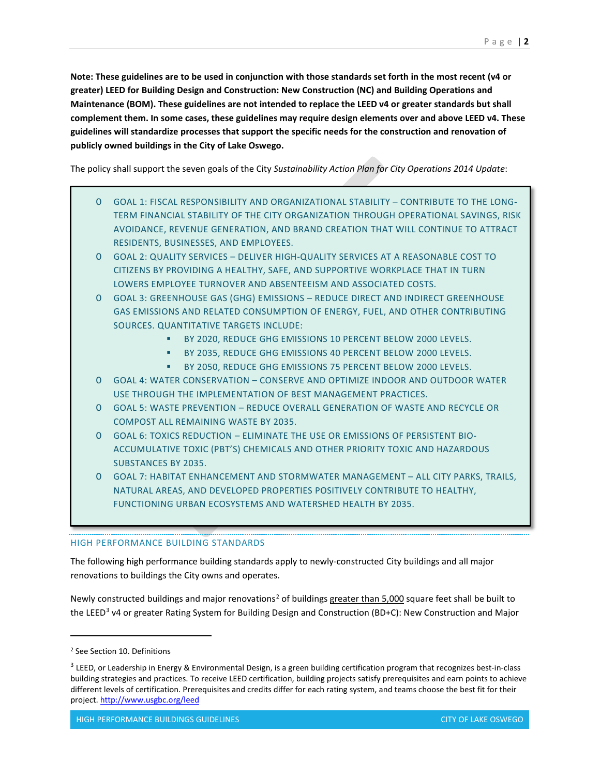**Note: These guidelines are to be used in conjunction with those standards set forth in the most recent (v4 or greater) LEED for Building Design and Construction: New Construction (NC) and Building Operations and Maintenance (BOM). These guidelines are not intended to replace the LEED v4 or greater standards but shall complement them. In some cases, these guidelines may require design elements over and above LEED v4. These guidelines will standardize processes that support the specific needs for the construction and renovation of publicly owned buildings in the City of Lake Oswego.**

The policy shall support the seven goals of the City *Sustainability Action Plan for City Operations 2014 Update*:

- O GOAL 1: FISCAL RESPONSIBILITY AND ORGANIZATIONAL STABILITY CONTRIBUTE TO THE LONG-TERM FINANCIAL STABILITY OF THE CITY ORGANIZATION THROUGH OPERATIONAL SAVINGS, RISK AVOIDANCE, REVENUE GENERATION, AND BRAND CREATION THAT WILL CONTINUE TO ATTRACT RESIDENTS, BUSINESSES, AND EMPLOYEES.
- O GOAL 2: QUALITY SERVICES DELIVER HIGH-QUALITY SERVICES AT A REASONABLE COST TO CITIZENS BY PROVIDING A HEALTHY, SAFE, AND SUPPORTIVE WORKPLACE THAT IN TURN LOWERS EMPLOYEE TURNOVER AND ABSENTEEISM AND ASSOCIATED COSTS.
- O GOAL 3: GREENHOUSE GAS (GHG) EMISSIONS REDUCE DIRECT AND INDIRECT GREENHOUSE GAS EMISSIONS AND RELATED CONSUMPTION OF ENERGY, FUEL, AND OTHER CONTRIBUTING SOURCES. QUANTITATIVE TARGETS INCLUDE:
	- **BY 2020, REDUCE GHG EMISSIONS 10 PERCENT BELOW 2000 LEVELS.**
	- **BY 2035, REDUCE GHG EMISSIONS 40 PERCENT BELOW 2000 LEVELS.**
	- **BY 2050, REDUCE GHG EMISSIONS 75 PERCENT BELOW 2000 LEVELS.**
- O GOAL 4: WATER CONSERVATION CONSERVE AND OPTIMIZE INDOOR AND OUTDOOR WATER USE THROUGH THE IMPLEMENTATION OF BEST MANAGEMENT PRACTICES.
- O GOAL 5: WASTE PREVENTION REDUCE OVERALL GENERATION OF WASTE AND RECYCLE OR COMPOST ALL REMAINING WASTE BY 2035.
- O GOAL 6: TOXICS REDUCTION ELIMINATE THE USE OR EMISSIONS OF PERSISTENT BIO-ACCUMULATIVE TOXIC (PBT'S) CHEMICALS AND OTHER PRIORITY TOXIC AND HAZARDOUS SUBSTANCES BY 2035.
- O GOAL 7: HABITAT ENHANCEMENT AND STORMWATER MANAGEMENT ALL CITY PARKS, TRAILS, NATURAL AREAS, AND DEVELOPED PROPERTIES POSITIVELY CONTRIBUTE TO HEALTHY, FUNCTIONING URBAN ECOSYSTEMS AND WATERSHED HEALTH BY 2035.

# HIGH PERFORMANCE BUILDING STANDARDS

The following high performance building standards apply to newly-constructed City buildings and all major renovations to buildings the City owns and operates.

Newly constructed buildings and major renovations<sup>[2](#page-1-0)</sup> of buildings greater than 5,000 square feet shall be built to the LEED<sup>3</sup> v4 or greater Rating System for Building Design and Construction (BD+C): New Construction and Major

<span id="page-1-0"></span><sup>2</sup> See Section 10. Definitions

<span id="page-1-1"></span> $3$  LEED, or Leadership in Energy & Environmental Design, is a green building certification program that recognizes best-in-class building strategies and practices. To receive LEED certification, building projects satisfy prerequisites and earn points to achieve different levels of certification. Prerequisites and credits differ for each rating system, and teams choose the best fit for their project[. http://www.usgbc.org/leed](http://www.usgbc.org/leed)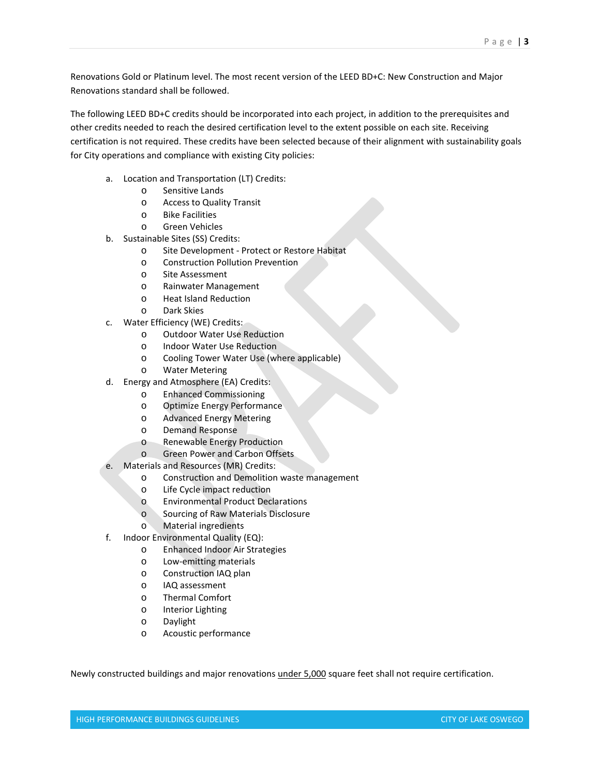Renovations Gold or Platinum level. The most recent version of the LEED BD+C: New Construction and Major Renovations standard shall be followed.

The following LEED BD+C credits should be incorporated into each project, in addition to the prerequisites and other credits needed to reach the desired certification level to the extent possible on each site. Receiving certification is not required. These credits have been selected because of their alignment with sustainability goals for City operations and compliance with existing City policies:

- a. Location and Transportation (LT) Credits:
	- o Sensitive Lands
		- o Access to Quality Transit
		- o Bike Facilities
		- o Green Vehicles
- b. Sustainable Sites (SS) Credits:
	- o Site Development Protect or Restore Habitat
	- o Construction Pollution Prevention
	- o Site Assessment
	- o Rainwater Management
	- o Heat Island Reduction
	- o Dark Skies
- c. Water Efficiency (WE) Credits:
	- o Outdoor Water Use Reduction
	- o Indoor Water Use Reduction
	- o Cooling Tower Water Use (where applicable)<br>o Water Metering
	- **Water Metering**
- d. Energy and Atmosphere (EA) Credits:
	- o Enhanced Commissioning
	- o Optimize Energy Performance
	- o Advanced Energy Metering
	- o Demand Response
	- o Renewable Energy Production
	- o Green Power and Carbon Offsets
- e. Materials and Resources (MR) Credits:
	- o Construction and Demolition waste management
	- o Life Cycle impact reduction
	- o Environmental Product Declarations
	- o Sourcing of Raw Materials Disclosure
	- o Material ingredients
- f. Indoor Environmental Quality (EQ):
	- o Enhanced Indoor Air Strategies
	- o Low-emitting materials
	- o Construction IAQ plan
	- o IAQ assessment
	- o Thermal Comfort
	- o Interior Lighting
	- o Daylight
	- o Acoustic performance

Newly constructed buildings and major renovations under 5,000 square feet shall not require certification.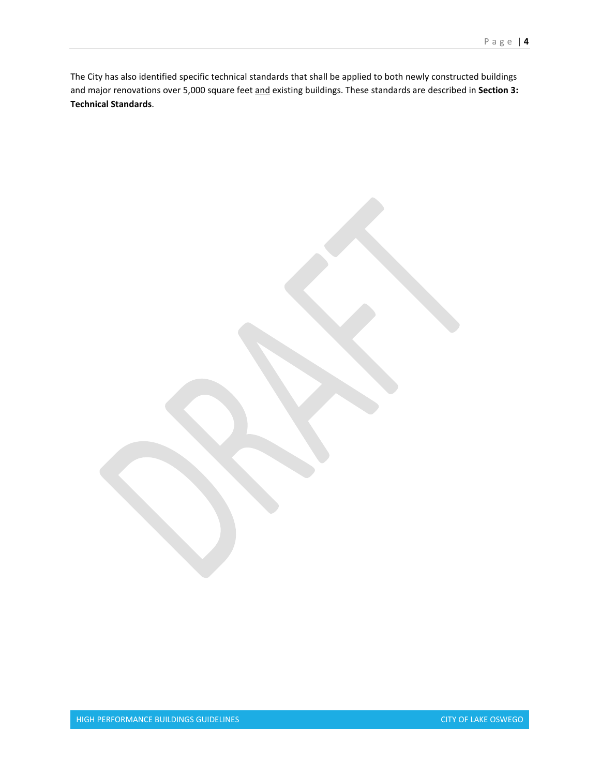The City has also identified specific technical standards that shall be applied to both newly constructed buildings and major renovations over 5,000 square feet and existing buildings. These standards are described in **Section 3: Technical Standards**.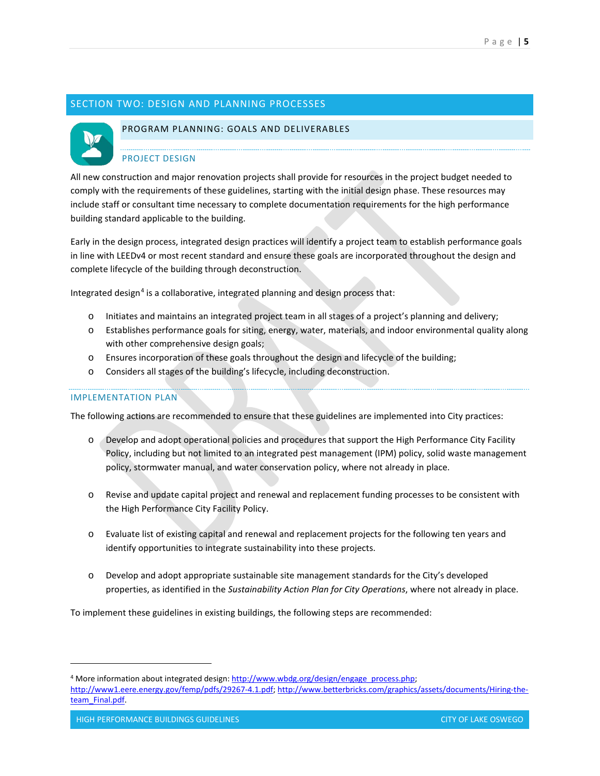# SECTION TWO: DESIGN AND PLANNING PROCESSES



#### PROGRAM PLANNING: GOALS AND DELIVERABLES

## PROJECT DESIGN

All new construction and major renovation projects shall provide for resources in the project budget needed to comply with the requirements of these guidelines, starting with the initial design phase. These resources may include staff or consultant time necessary to complete documentation requirements for the high performance building standard applicable to the building.

Early in the design process, integrated design practices will identify a project team to establish performance goals in line with LEEDv4 or most recent standard and ensure these goals are incorporated throughout the design and complete lifecycle of the building through deconstruction.

Integrated design<sup>[4](#page-4-0)</sup> is a collaborative, integrated planning and design process that:

- o Initiates and maintains an integrated project team in all stages of a project's planning and delivery;
- o Establishes performance goals for siting, energy, water, materials, and indoor environmental quality along with other comprehensive design goals;
- o Ensures incorporation of these goals throughout the design and lifecycle of the building;
- o Considers all stages of the building's lifecycle, including deconstruction.

#### IMPLEMENTATION PLAN

The following actions are recommended to ensure that these guidelines are implemented into City practices:

- o Develop and adopt operational policies and procedures that support the High Performance City Facility Policy, including but not limited to an integrated pest management (IPM) policy, solid waste management policy, stormwater manual, and water conservation policy, where not already in place.
- o Revise and update capital project and renewal and replacement funding processes to be consistent with the High Performance City Facility Policy.
- o Evaluate list of existing capital and renewal and replacement projects for the following ten years and identify opportunities to integrate sustainability into these projects.
- o Develop and adopt appropriate sustainable site management standards for the City's developed properties, as identified in the *Sustainability Action Plan for City Operations*, where not already in place.

To implement these guidelines in existing buildings, the following steps are recommended:

<span id="page-4-0"></span><sup>&</sup>lt;sup>4</sup> More information about integrated design: http://www.wbdg.org/design/engage\_process.php;

[http://www1.eere.energy.gov/femp/pdfs/29267-4.1.pdf;](http://www1.eere.energy.gov/femp/pdfs/29267-4.1.pdf) [http://www.betterbricks.com/graphics/assets/documents/Hiring-the](http://www.betterbricks.com/graphics/assets/documents/Hiring-the-team_Final.pdf)[team\\_Final.pdf.](http://www.betterbricks.com/graphics/assets/documents/Hiring-the-team_Final.pdf)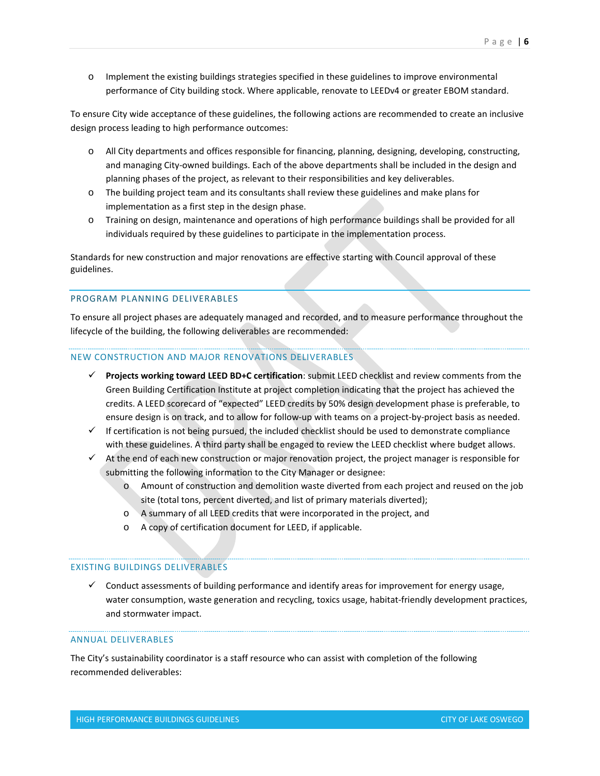o Implement the existing buildings strategies specified in these guidelines to improve environmental performance of City building stock. Where applicable, renovate to LEEDv4 or greater EBOM standard.

To ensure City wide acceptance of these guidelines, the following actions are recommended to create an inclusive design process leading to high performance outcomes:

- o All City departments and offices responsible for financing, planning, designing, developing, constructing, and managing City-owned buildings. Each of the above departments shall be included in the design and planning phases of the project, as relevant to their responsibilities and key deliverables.
- o The building project team and its consultants shall review these guidelines and make plans for implementation as a first step in the design phase.
- o Training on design, maintenance and operations of high performance buildings shall be provided for all individuals required by these guidelines to participate in the implementation process.

Standards for new construction and major renovations are effective starting with Council approval of these guidelines.

#### PROGRAM PLANNING DELIVERABLES

To ensure all project phases are adequately managed and recorded, and to measure performance throughout the lifecycle of the building, the following deliverables are recommended:

#### NEW CONSTRUCTION AND MAJOR RENOVATIONS DELIVERABLES

- **Projects working toward LEED BD+C certification**: submit LEED checklist and review comments from the Green Building Certification Institute at project completion indicating that the project has achieved the credits. A LEED scorecard of "expected" LEED credits by 50% design development phase is preferable, to ensure design is on track, and to allow for follow-up with teams on a project-by-project basis as needed.
- $\checkmark$  If certification is not being pursued, the included checklist should be used to demonstrate compliance with these guidelines. A third party shall be engaged to review the LEED checklist where budget allows.
- $\checkmark$  At the end of each new construction or major renovation project, the project manager is responsible for submitting the following information to the City Manager or designee:
	- o Amount of construction and demolition waste diverted from each project and reused on the job site (total tons, percent diverted, and list of primary materials diverted);
	- o A summary of all LEED credits that were incorporated in the project, and
	- o A copy of certification document for LEED, if applicable.

#### EXISTING BUILDINGS DELIVERABLES

 $\checkmark$  Conduct assessments of building performance and identify areas for improvement for energy usage, water consumption, waste generation and recycling, toxics usage, habitat-friendly development practices, and stormwater impact.

## ANNUAL DELIVERABLES

The City's sustainability coordinator is a staff resource who can assist with completion of the following recommended deliverables: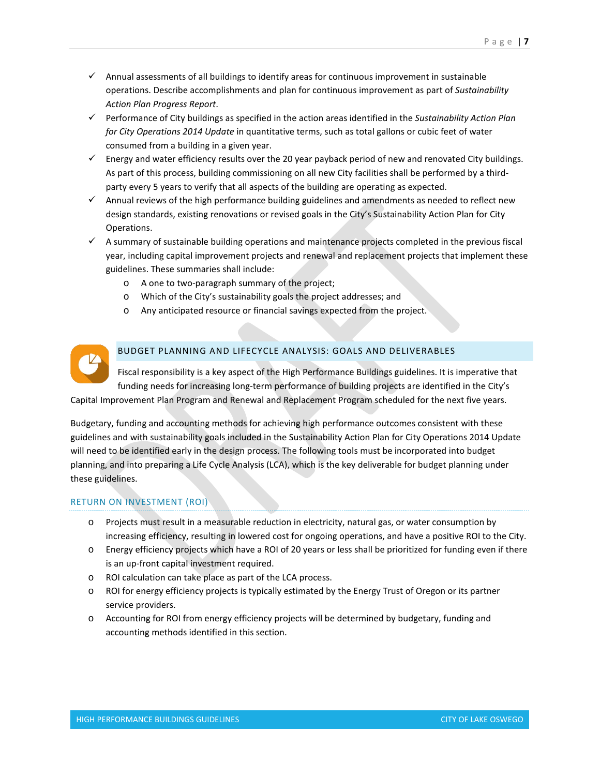- $\checkmark$  Annual assessments of all buildings to identify areas for continuous improvement in sustainable operations. Describe accomplishments and plan for continuous improvement as part of *Sustainability Action Plan Progress Report*.
- Performance of City buildings as specified in the action areas identified in the *Sustainability Action Plan for City Operations 2014 Update* in quantitative terms, such as total gallons or cubic feet of water consumed from a building in a given year.
- $\checkmark$  Energy and water efficiency results over the 20 year payback period of new and renovated City buildings. As part of this process, building commissioning on all new City facilities shall be performed by a thirdparty every 5 years to verify that all aspects of the building are operating as expected.
- $\checkmark$  Annual reviews of the high performance building guidelines and amendments as needed to reflect new design standards, existing renovations or revised goals in the City's Sustainability Action Plan for City Operations.
- $\checkmark$  A summary of sustainable building operations and maintenance projects completed in the previous fiscal year, including capital improvement projects and renewal and replacement projects that implement these guidelines. These summaries shall include:
	- o A one to two-paragraph summary of the project;
	- o Which of the City's sustainability goals the project addresses; and
	- o Any anticipated resource or financial savings expected from the project.



# BUDGET PLANNING AND LIFECYCLE ANALYSIS: GOALS AND DELIVERABLES

Fiscal responsibility is a key aspect of the High Performance Buildings guidelines. It is imperative that funding needs for increasing long-term performance of building projects are identified in the City's Capital Improvement Plan Program and Renewal and Replacement Program scheduled for the next five years.

Budgetary, funding and accounting methods for achieving high performance outcomes consistent with these guidelines and with sustainability goals included in the Sustainability Action Plan for City Operations 2014 Update will need to be identified early in the design process. The following tools must be incorporated into budget planning, and into preparing a Life Cycle Analysis (LCA), which is the key deliverable for budget planning under these guidelines.

# RETURN ON INVESTMENT (ROI)

- o Projects must result in a measurable reduction in electricity, natural gas, or water consumption by increasing efficiency, resulting in lowered cost for ongoing operations, and have a positive ROI to the City.
- o Energy efficiency projects which have a ROI of 20 years or less shall be prioritized for funding even if there is an up-front capital investment required.
- o ROI calculation can take place as part of the LCA process.
- o ROI for energy efficiency projects is typically estimated by the Energy Trust of Oregon or its partner service providers.
- o Accounting for ROI from energy efficiency projects will be determined by budgetary, funding and accounting methods identified in this section.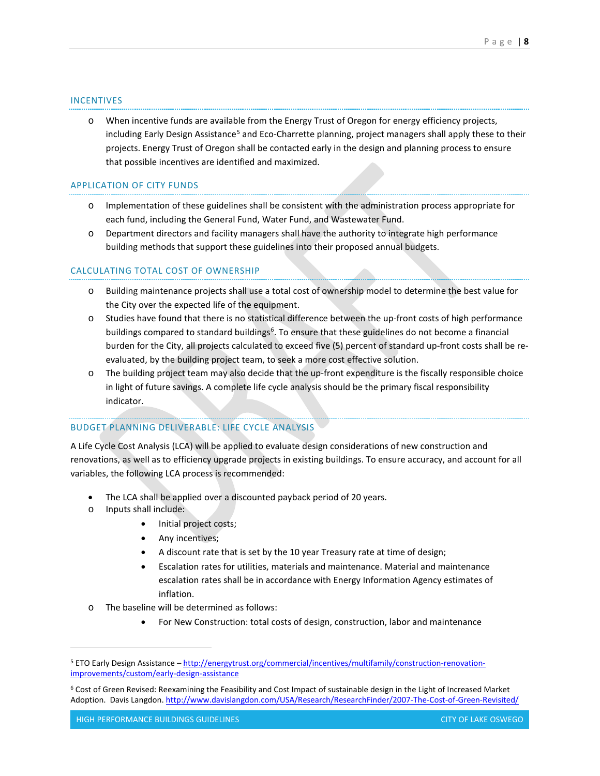#### INCENTIVES

o When incentive funds are available from the Energy Trust of Oregon for energy efficiency projects, including Early Design Assistance<sup>[5](#page-7-0)</sup> and Eco-Charrette planning, project managers shall apply these to their projects. Energy Trust of Oregon shall be contacted early in the design and planning process to ensure that possible incentives are identified and maximized.

#### APPLICATION OF CITY FUNDS

- o Implementation of these guidelines shall be consistent with the administration process appropriate for each fund, including the General Fund, Water Fund, and Wastewater Fund.
- o Department directors and facility managers shall have the authority to integrate high performance building methods that support these guidelines into their proposed annual budgets.

#### CALCULATING TOTAL COST OF OWNERSHIP

- o Building maintenance projects shall use a total cost of ownership model to determine the best value for the City over the expected life of the equipment.
- o Studies have found that there is no statistical difference between the up-front costs of high performance buildings compared to standard buildings<sup>6</sup>. To ensure that these guidelines do not become a financial burden for the City, all projects calculated to exceed five (5) percent of standard up-front costs shall be reevaluated, by the building project team, to seek a more cost effective solution.
- o The building project team may also decide that the up-front expenditure is the fiscally responsible choice in light of future savings. A complete life cycle analysis should be the primary fiscal responsibility indicator.

## BUDGET PLANNING DELIVERABLE: LIFE CYCLE ANALYSIS

A Life Cycle Cost Analysis (LCA) will be applied to evaluate design considerations of new construction and renovations, as well as to efficiency upgrade projects in existing buildings. To ensure accuracy, and account for all variables, the following LCA process is recommended:

- The LCA shall be applied over a discounted payback period of 20 years.
- o Inputs shall include:

- Initial project costs;
- Any incentives;
- A discount rate that is set by the 10 year Treasury rate at time of design;
- Escalation rates for utilities, materials and maintenance. Material and maintenance escalation rates shall be in accordance with Energy Information Agency estimates of inflation.
- o The baseline will be determined as follows:
	- For New Construction: total costs of design, construction, labor and maintenance

<span id="page-7-0"></span><sup>5</sup> ETO Early Design Assistance – [http://energytrust.org/commercial/incentives/multifamily/construction-renovation](http://energytrust.org/commercial/incentives/multifamily/construction-renovation-improvements/custom/early-design-assistance)[improvements/custom/early-design-assistance](http://energytrust.org/commercial/incentives/multifamily/construction-renovation-improvements/custom/early-design-assistance)

<span id="page-7-1"></span><sup>6</sup> Cost of Green Revised: Reexamining the Feasibility and Cost Impact of sustainable design in the Light of Increased Market Adoption. Davis Langdon[. http://www.davislangdon.com/USA/Research/ResearchFinder/2007-The-Cost-of-Green-Revisited/](http://www.davislangdon.com/USA/Research/ResearchFinder/2007-The-Cost-of-Green-Revisited/)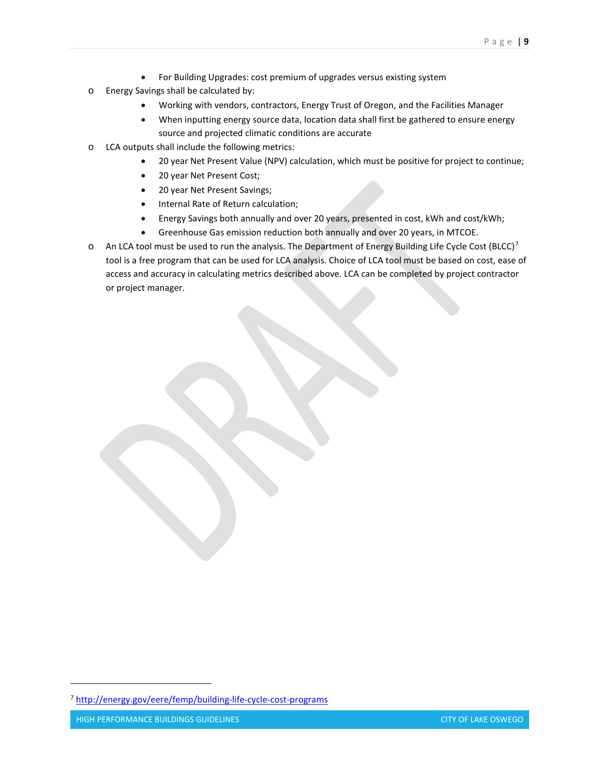- For Building Upgrades: cost premium of upgrades versus existing system
- o Energy Savings shall be calculated by:
	- Working with vendors, contractors, Energy Trust of Oregon, and the Facilities Manager
	- When inputting energy source data, location data shall first be gathered to ensure energy source and projected climatic conditions are accurate
- o LCA outputs shall include the following metrics:
	- 20 year Net Present Value (NPV) calculation, which must be positive for project to continue;
	- 20 year Net Present Cost;
	- 20 year Net Present Savings;
	- Internal Rate of Return calculation;
	- Energy Savings both annually and over 20 years, presented in cost, kWh and cost/kWh;
	- Greenhouse Gas emission reduction both annually and over 20 years, in MTCOE.
- $\circ$  An LCA tool must be used to run the analysis. The Department of Energy Building Life Cycle Cost (BLCC)<sup>[7](#page-8-0)</sup> tool is a free program that can be used for LCA analysis. Choice of LCA tool must be based on cost, ease of access and accuracy in calculating metrics described above. LCA can be completed by project contractor or project manager.

<span id="page-8-0"></span><sup>7</sup> <http://energy.gov/eere/femp/building-life-cycle-cost-programs>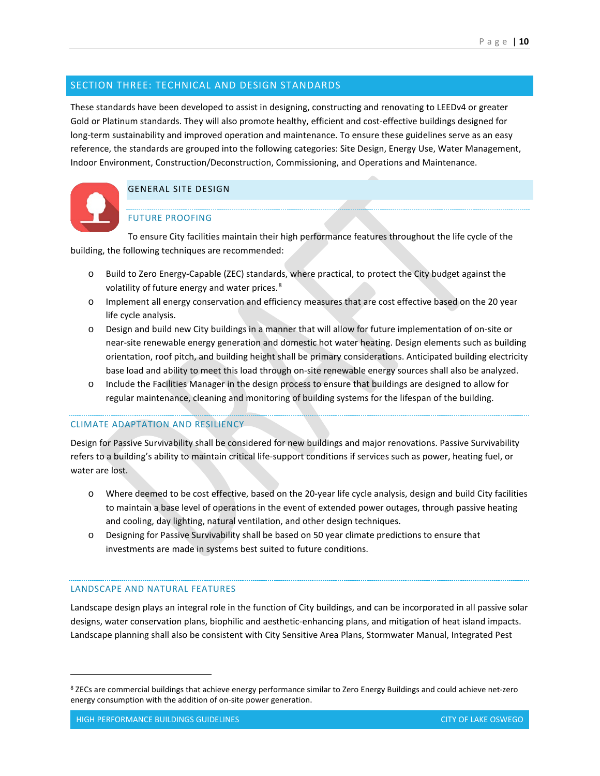# SECTION THREE: TECHNICAL AND DESIGN STANDARDS

These standards have been developed to assist in designing, constructing and renovating to LEEDv4 or greater Gold or Platinum standards. They will also promote healthy, efficient and cost-effective buildings designed for long-term sustainability and improved operation and maintenance. To ensure these guidelines serve as an easy reference, the standards are grouped into the following categories: Site Design, Energy Use, Water Management, Indoor Environment, Construction/Deconstruction, Commissioning, and Operations and Maintenance.



# GENERAL SITE DESIGN

# FUTURE PROOFING

To ensure City facilities maintain their high performance features throughout the life cycle of the building, the following techniques are recommended:

- o Build to Zero Energy-Capable (ZEC) standards, where practical, to protect the City budget against the volatility of future energy and water prices.<sup>[8](#page-9-0)</sup>
- o Implement all energy conservation and efficiency measures that are cost effective based on the 20 year life cycle analysis.
- o Design and build new City buildings in a manner that will allow for future implementation of on-site or near-site renewable energy generation and domestic hot water heating. Design elements such as building orientation, roof pitch, and building height shall be primary considerations. Anticipated building electricity base load and ability to meet this load through on-site renewable energy sources shall also be analyzed.
- o Include the Facilities Manager in the design process to ensure that buildings are designed to allow for regular maintenance, cleaning and monitoring of building systems for the lifespan of the building.

# CLIMATE ADAPTATION AND RESILIENCY

Design for Passive Survivability shall be considered for new buildings and major renovations. Passive Survivability refers to a building's ability to maintain critical life-support conditions if services such as power, heating fuel, or water are lost.

- o Where deemed to be cost effective, based on the 20-year life cycle analysis, design and build City facilities to maintain a base level of operations in the event of extended power outages, through passive heating and cooling, day lighting, natural ventilation, and other design techniques.
- o Designing for Passive Survivability shall be based on 50 year climate predictions to ensure that investments are made in systems best suited to future conditions.

# LANDSCAPE AND NATURAL FEATURES

Landscape design plays an integral role in the function of City buildings, and can be incorporated in all passive solar designs, water conservation plans, biophilic and aesthetic-enhancing plans, and mitigation of heat island impacts. Landscape planning shall also be consistent with City Sensitive Area Plans, Stormwater Manual, Integrated Pest

<span id="page-9-0"></span><sup>8</sup> ZECs are commercial buildings that achieve energy performance similar to Zero Energy Buildings and could achieve net-zero energy consumption with the addition of on-site power generation.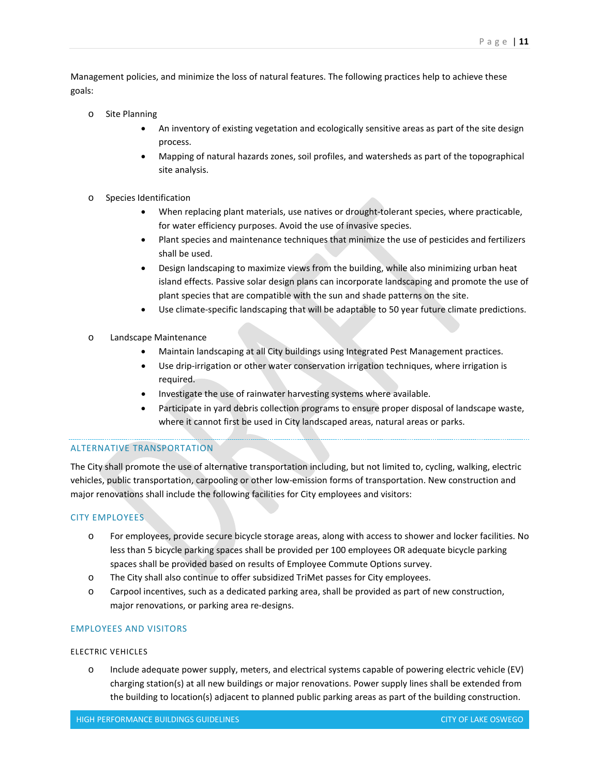Management policies, and minimize the loss of natural features. The following practices help to achieve these goals:

- o Site Planning
	- An inventory of existing vegetation and ecologically sensitive areas as part of the site design process.
	- Mapping of natural hazards zones, soil profiles, and watersheds as part of the topographical site analysis.
- o Species Identification
	- When replacing plant materials, use natives or drought-tolerant species, where practicable, for water efficiency purposes. Avoid the use of invasive species.
	- Plant species and maintenance techniques that minimize the use of pesticides and fertilizers shall be used.
	- Design landscaping to maximize views from the building, while also minimizing urban heat island effects. Passive solar design plans can incorporate landscaping and promote the use of plant species that are compatible with the sun and shade patterns on the site.
	- Use climate-specific landscaping that will be adaptable to 50 year future climate predictions.
- o Landscape Maintenance
	- Maintain landscaping at all City buildings using Integrated Pest Management practices.
	- Use drip-irrigation or other water conservation irrigation techniques, where irrigation is required.
	- Investigate the use of rainwater harvesting systems where available.
	- Participate in yard debris collection programs to ensure proper disposal of landscape waste, where it cannot first be used in City landscaped areas, natural areas or parks.

# ALTERNATIVE TRANSPORTATION

The City shall promote the use of alternative transportation including, but not limited to, cycling, walking, electric vehicles, public transportation, carpooling or other low-emission forms of transportation. New construction and major renovations shall include the following facilities for City employees and visitors:

# CITY EMPLOYEES

- o For employees, provide secure bicycle storage areas, along with access to shower and locker facilities. No less than 5 bicycle parking spaces shall be provided per 100 employees OR adequate bicycle parking spaces shall be provided based on results of Employee Commute Options survey.
- o The City shall also continue to offer subsidized TriMet passes for City employees.
- o Carpool incentives, such as a dedicated parking area, shall be provided as part of new construction, major renovations, or parking area re-designs.

# EMPLOYEES AND VISITORS

# ELECTRIC VEHICLES

o Include adequate power supply, meters, and electrical systems capable of powering electric vehicle (EV) charging station(s) at all new buildings or major renovations. Power supply lines shall be extended from the building to location(s) adjacent to planned public parking areas as part of the building construction.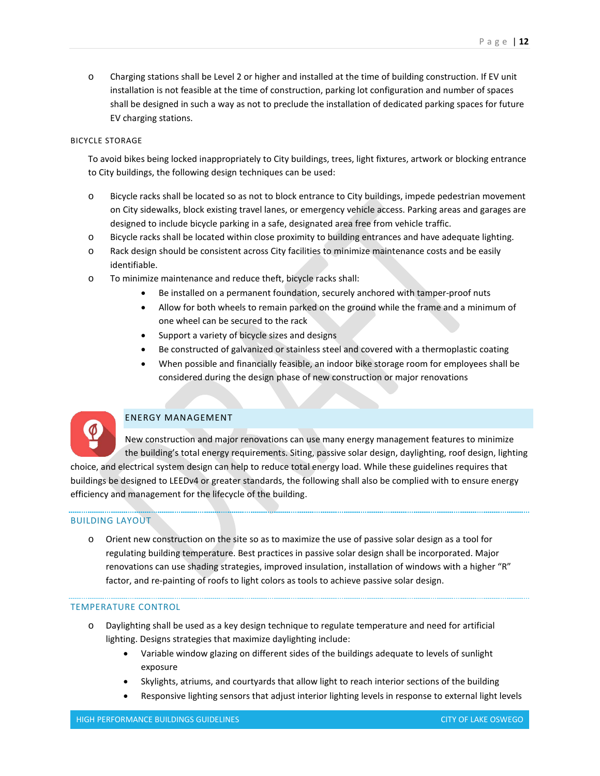#### BICYCLE STORAGE

EV charging stations.

To avoid bikes being locked inappropriately to City buildings, trees, light fixtures, artwork or blocking entrance to City buildings, the following design techniques can be used:

shall be designed in such a way as not to preclude the installation of dedicated parking spaces for future

- o Bicycle racks shall be located so as not to block entrance to City buildings, impede pedestrian movement on City sidewalks, block existing travel lanes, or emergency vehicle access. Parking areas and garages are designed to include bicycle parking in a safe, designated area free from vehicle traffic.
- o Bicycle racks shall be located within close proximity to building entrances and have adequate lighting.
- o Rack design should be consistent across City facilities to minimize maintenance costs and be easily identifiable.
- o To minimize maintenance and reduce theft, bicycle racks shall:
	- Be installed on a permanent foundation, securely anchored with tamper-proof nuts
	- Allow for both wheels to remain parked on the ground while the frame and a minimum of one wheel can be secured to the rack
	- Support a variety of bicycle sizes and designs
	- Be constructed of galvanized or stainless steel and covered with a thermoplastic coating
	- When possible and financially feasible, an indoor bike storage room for employees shall be considered during the design phase of new construction or major renovations



#### ENERGY MANAGEMENT

New construction and major renovations can use many energy management features to minimize the building's total energy requirements. Siting, passive solar design, daylighting, roof design, lighting choice, and electrical system design can help to reduce total energy load. While these guidelines requires that buildings be designed to LEEDv4 or greater standards, the following shall also be complied with to ensure energy efficiency and management for the lifecycle of the building.

#### BUILDING LAYOUT

o Orient new construction on the site so as to maximize the use of passive solar design as a tool for regulating building temperature. Best practices in passive solar design shall be incorporated. Major renovations can use shading strategies, improved insulation, installation of windows with a higher "R" factor, and re-painting of roofs to light colors as tools to achieve passive solar design.

#### TEMPERATURE CONTROL

- o Daylighting shall be used as a key design technique to regulate temperature and need for artificial lighting. Designs strategies that maximize daylighting include:
	- Variable window glazing on different sides of the buildings adequate to levels of sunlight exposure
	- Skylights, atriums, and courtyards that allow light to reach interior sections of the building
	- Responsive lighting sensors that adjust interior lighting levels in response to external light levels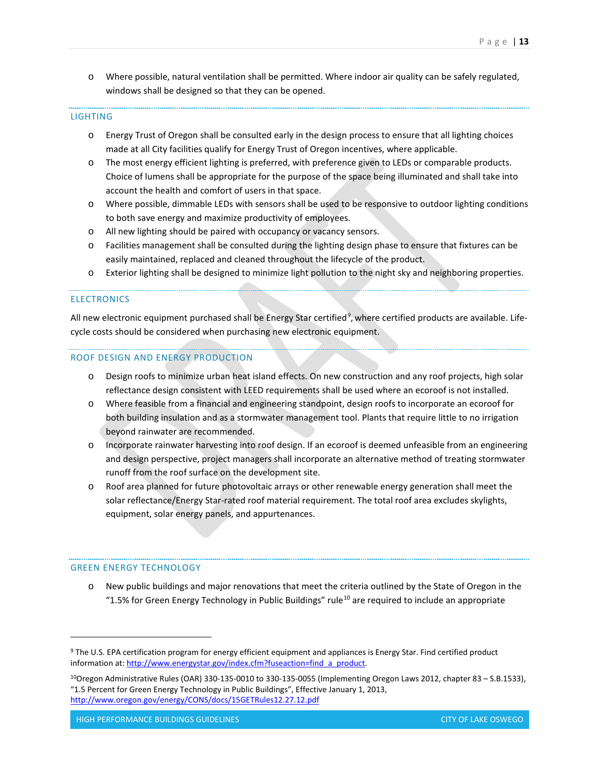o Where possible, natural ventilation shall be permitted. Where indoor air quality can be safely regulated, windows shall be designed so that they can be opened.

#### LIGHTING

- o Energy Trust of Oregon shall be consulted early in the design process to ensure that all lighting choices made at all City facilities qualify for Energy Trust of Oregon incentives, where applicable.
- o The most energy efficient lighting is preferred, with preference given to LEDs or comparable products. Choice of lumens shall be appropriate for the purpose of the space being illuminated and shall take into account the health and comfort of users in that space.
- o Where possible, dimmable LEDs with sensors shall be used to be responsive to outdoor lighting conditions to both save energy and maximize productivity of employees.
- o All new lighting should be paired with occupancy or vacancy sensors.
- o Facilities management shall be consulted during the lighting design phase to ensure that fixtures can be easily maintained, replaced and cleaned throughout the lifecycle of the product.
- o Exterior lighting shall be designed to minimize light pollution to the night sky and neighboring properties.

#### **ELECTRONICS**

All new electronic equipment purchased shall be Energy Star certified<sup>[9](#page-12-0)</sup>, where certified products are available. Lifecycle costs should be considered when purchasing new electronic equipment.

#### ROOF DESIGN AND ENERGY PRODUCTION

- o Design roofs to minimize urban heat island effects. On new construction and any roof projects, high solar reflectance design consistent with LEED requirements shall be used where an ecoroof is not installed.
- o Where feasible from a financial and engineering standpoint, design roofs to incorporate an ecoroof for both building insulation and as a stormwater management tool. Plants that require little to no irrigation beyond rainwater are recommended.
- o Incorporate rainwater harvesting into roof design. If an ecoroof is deemed unfeasible from an engineering and design perspective, project managers shall incorporate an alternative method of treating stormwater runoff from the roof surface on the development site.
- o Roof area planned for future photovoltaic arrays or other renewable energy generation shall meet the solar reflectance/Energy Star-rated roof material requirement. The total roof area excludes skylights, equipment, solar energy panels, and appurtenances.

#### GREEN ENERGY TECHNOLOGY

 $\overline{a}$ 

o New public buildings and major renovations that meet the criteria outlined by the State of Oregon in the "1.5% for Green Energy Technology in Public Buildings" rule<sup>[10](#page-12-1)</sup> are required to include an appropriate

<span id="page-12-0"></span><sup>9</sup> The U.S. EPA certification program for energy efficient equipment and appliances is Energy Star. Find certified product information at[: http://www.energystar.gov/index.cfm?fuseaction=find\\_a\\_product.](http://www.energystar.gov/index.cfm?fuseaction=find_a_product)

<span id="page-12-1"></span><sup>10</sup>Oregon Administrative Rules (OAR) 330-135-0010 to 330-135-0055 (Implementing Oregon Laws 2012, chapter 83 – S.B.1533), "1.5 Percent for Green Energy Technology in Public Buildings", Effective January 1, 2013, <http://www.oregon.gov/energy/CONS/docs/15GETRules12.27.12.pdf>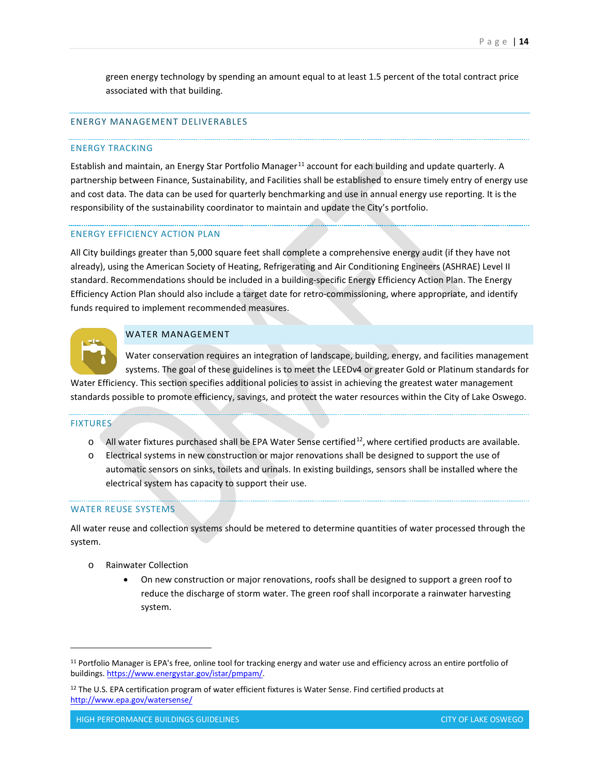green energy technology by spending an amount equal to at least 1.5 percent of the total contract price associated with that building.

# ENERGY MANAGEMENT DELIVERABLES

#### ENERGY TRACKING

Establish and maintain, an Energy Star Portfolio Manager<sup>[11](#page-13-0)</sup> account for each building and update quarterly. A partnership between Finance, Sustainability, and Facilities shall be established to ensure timely entry of energy use and cost data. The data can be used for quarterly benchmarking and use in annual energy use reporting. It is the responsibility of the sustainability coordinator to maintain and update the City's portfolio.

## ENERGY EFFICIENCY ACTION PLAN

All City buildings greater than 5,000 square feet shall complete a comprehensive energy audit (if they have not already), using the American Society of Heating, Refrigerating and Air Conditioning Engineers (ASHRAE) Level II standard. Recommendations should be included in a building-specific Energy Efficiency Action Plan. The Energy Efficiency Action Plan should also include a target date for retro-commissioning, where appropriate, and identify funds required to implement recommended measures.



## WATER MANAGEMENT

Water conservation requires an integration of landscape, building, energy, and facilities management systems. The goal of these guidelines is to meet the LEEDv4 or greater Gold or Platinum standards for Water Efficiency. This section specifies additional policies to assist in achieving the greatest water management

standards possible to promote efficiency, savings, and protect the water resources within the City of Lake Oswego.

#### FIXTURES

 $\overline{a}$ 

- $\circ$  All water fixtures purchased shall be EPA Water Sense certified<sup>[12](#page-13-1)</sup>, where certified products are available.
- o Electrical systems in new construction or major renovations shall be designed to support the use of automatic sensors on sinks, toilets and urinals. In existing buildings, sensors shall be installed where the electrical system has capacity to support their use.

#### WATER REUSE SYSTEMS

All water reuse and collection systems should be metered to determine quantities of water processed through the system.

- o Rainwater Collection
	- On new construction or major renovations, roofs shall be designed to support a green roof to reduce the discharge of storm water. The green roof shall incorporate a rainwater harvesting system.

<span id="page-13-0"></span><sup>&</sup>lt;sup>11</sup> Portfolio Manager is EPA's free, online tool for tracking energy and water use and efficiency across an entire portfolio of buildings[. https://www.energystar.gov/istar/pmpam/.](https://www.energystar.gov/istar/pmpam/)

<span id="page-13-1"></span><sup>&</sup>lt;sup>12</sup> The U.S. EPA certification program of water efficient fixtures is Water Sense. Find certified products at <http://www.epa.gov/watersense/>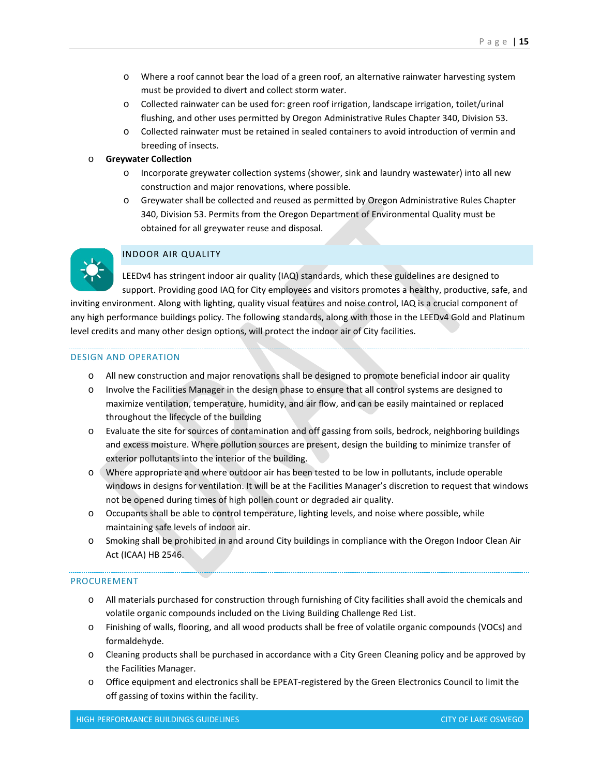- o Where a roof cannot bear the load of a green roof, an alternative rainwater harvesting system must be provided to divert and collect storm water.
- o Collected rainwater can be used for: green roof irrigation, landscape irrigation, toilet/urinal flushing, and other uses permitted by Oregon Administrative Rules Chapter 340, Division 53.
- o Collected rainwater must be retained in sealed containers to avoid introduction of vermin and breeding of insects.

# o **Greywater Collection**

- o Incorporate greywater collection systems (shower, sink and laundry wastewater) into all new construction and major renovations, where possible.
- o Greywater shall be collected and reused as permitted by Oregon Administrative Rules Chapter 340, Division 53. Permits from the Oregon Department of Environmental Quality must be obtained for all greywater reuse and disposal.



# INDOOR AIR QUALITY

LEEDv4 has stringent indoor air quality (IAQ) standards, which these guidelines are designed to support. Providing good IAQ for City employees and visitors promotes a healthy, productive, safe, and inviting environment. Along with lighting, quality visual features and noise control, IAQ is a crucial component of any high performance buildings policy. The following standards, along with those in the LEEDv4 Gold and Platinum level credits and many other design options, will protect the indoor air of City facilities.

# DESIGN AND OPERATION

- o All new construction and major renovations shall be designed to promote beneficial indoor air quality
- o Involve the Facilities Manager in the design phase to ensure that all control systems are designed to maximize ventilation, temperature, humidity, and air flow, and can be easily maintained or replaced throughout the lifecycle of the building
- o Evaluate the site for sources of contamination and off gassing from soils, bedrock, neighboring buildings and excess moisture. Where pollution sources are present, design the building to minimize transfer of exterior pollutants into the interior of the building.
- o Where appropriate and where outdoor air has been tested to be low in pollutants, include operable windows in designs for ventilation. It will be at the Facilities Manager's discretion to request that windows not be opened during times of high pollen count or degraded air quality.
- o Occupants shall be able to control temperature, lighting levels, and noise where possible, while maintaining safe levels of indoor air.
- o Smoking shall be prohibited in and around City buildings in compliance with the Oregon Indoor Clean Air Act (ICAA) HB 2546.

# PROCUREMENT

- o All materials purchased for construction through furnishing of City facilities shall avoid the chemicals and volatile organic compounds included on the Living Building Challenge Red List.
- o Finishing of walls, flooring, and all wood products shall be free of volatile organic compounds (VOCs) and formaldehyde.
- o Cleaning products shall be purchased in accordance with a City Green Cleaning policy and be approved by the Facilities Manager.
- o Office equipment and electronics shall be EPEAT-registered by the Green Electronics Council to limit the off gassing of toxins within the facility.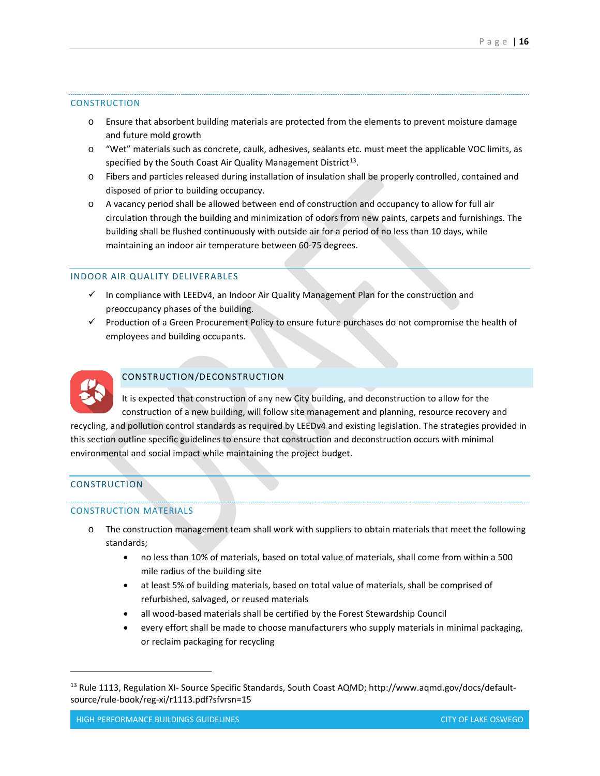#### **CONSTRUCTION**

- o Ensure that absorbent building materials are protected from the elements to prevent moisture damage and future mold growth
- o "Wet" materials such as concrete, caulk, adhesives, sealants etc. must meet the applicable VOC limits, as specified by the South Coast Air Quality Management District<sup>13</sup>.
- o Fibers and particles released during installation of insulation shall be properly controlled, contained and disposed of prior to building occupancy.
- o A vacancy period shall be allowed between end of construction and occupancy to allow for full air circulation through the building and minimization of odors from new paints, carpets and furnishings. The building shall be flushed continuously with outside air for a period of no less than 10 days, while maintaining an indoor air temperature between 60-75 degrees.

#### INDOOR AIR QUALITY DELIVERABLES

- $\checkmark$  In compliance with LEEDv4, an Indoor Air Quality Management Plan for the construction and preoccupancy phases of the building.
- $\checkmark$  Production of a Green Procurement Policy to ensure future purchases do not compromise the health of employees and building occupants.



# CONSTRUCTION/DECONSTRUCTION

It is expected that construction of any new City building, and deconstruction to allow for the construction of a new building, will follow site management and planning, resource recovery and

recycling, and pollution control standards as required by LEEDv4 and existing legislation. The strategies provided in this section outline specific guidelines to ensure that construction and deconstruction occurs with minimal environmental and social impact while maintaining the project budget.

### CONSTRUCTION

 $\overline{a}$ 

#### CONSTRUCTION MATERIALS

- o The construction management team shall work with suppliers to obtain materials that meet the following standards;
	- no less than 10% of materials, based on total value of materials, shall come from within a 500 mile radius of the building site
	- at least 5% of building materials, based on total value of materials, shall be comprised of refurbished, salvaged, or reused materials
	- all wood-based materials shall be certified by the Forest Stewardship Council
	- every effort shall be made to choose manufacturers who supply materials in minimal packaging, or reclaim packaging for recycling

<span id="page-15-0"></span><sup>&</sup>lt;sup>13</sup> Rule 1113, Regulation XI- Source Specific Standards, South Coast AQMD; http://www.aqmd.gov/docs/defaultsource/rule-book/reg-xi/r1113.pdf?sfvrsn=15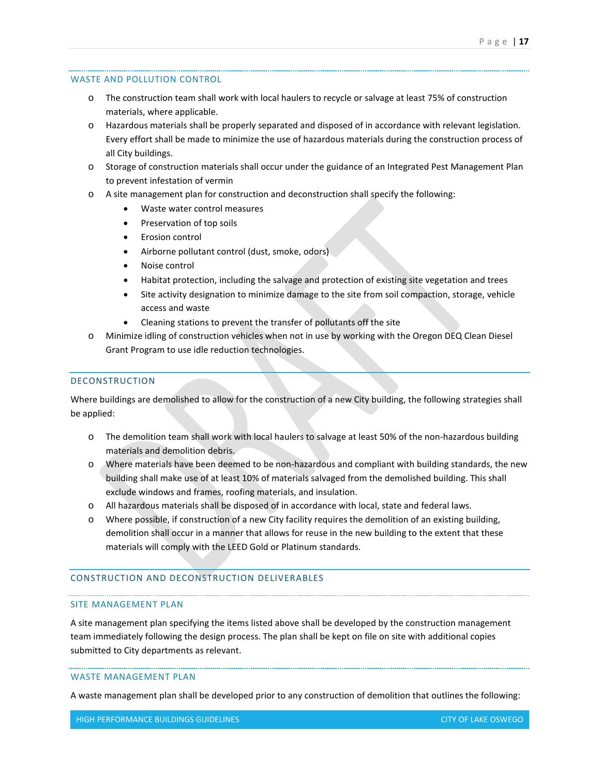### WASTE AND POLLUTION CONTROL

- o The construction team shall work with local haulers to recycle or salvage at least 75% of construction materials, where applicable.
- o Hazardous materials shall be properly separated and disposed of in accordance with relevant legislation. Every effort shall be made to minimize the use of hazardous materials during the construction process of all City buildings.
- o Storage of construction materials shall occur under the guidance of an Integrated Pest Management Plan to prevent infestation of vermin
- o A site management plan for construction and deconstruction shall specify the following:
	- Waste water control measures
	- Preservation of top soils
	- Erosion control
	- Airborne pollutant control (dust, smoke, odors)
	- Noise control
	- Habitat protection, including the salvage and protection of existing site vegetation and trees
	- Site activity designation to minimize damage to the site from soil compaction, storage, vehicle access and waste
	- Cleaning stations to prevent the transfer of pollutants off the site
- o Minimize idling of construction vehicles when not in use by working with the Oregon DEQ Clean Diesel Grant Program to use idle reduction technologies.

## DECONSTRUCTION

Where buildings are demolished to allow for the construction of a new City building, the following strategies shall be applied:

- o The demolition team shall work with local haulers to salvage at least 50% of the non-hazardous building materials and demolition debris.
- o Where materials have been deemed to be non-hazardous and compliant with building standards, the new building shall make use of at least 10% of materials salvaged from the demolished building. This shall exclude windows and frames, roofing materials, and insulation.
- o All hazardous materials shall be disposed of in accordance with local, state and federal laws.
- o Where possible, if construction of a new City facility requires the demolition of an existing building, demolition shall occur in a manner that allows for reuse in the new building to the extent that these materials will comply with the LEED Gold or Platinum standards.

# CONSTRUCTION AND DECONSTRUCTION DELIVERABLES

#### SITE MANAGEMENT PLAN

A site management plan specifying the items listed above shall be developed by the construction management team immediately following the design process. The plan shall be kept on file on site with additional copies submitted to City departments as relevant.

#### WASTE MANAGEMENT PLAN

A waste management plan shall be developed prior to any construction of demolition that outlines the following: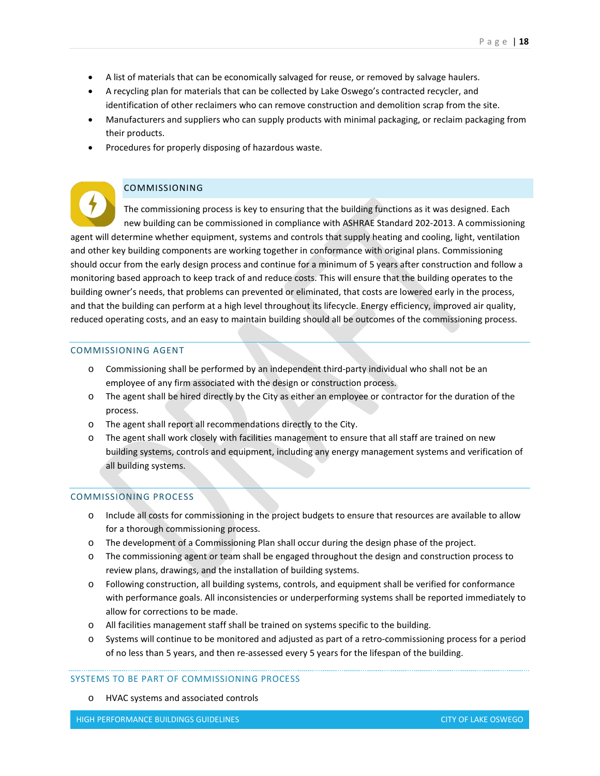- A list of materials that can be economically salvaged for reuse, or removed by salvage haulers.
- A recycling plan for materials that can be collected by Lake Oswego's contracted recycler, and identification of other reclaimers who can remove construction and demolition scrap from the site.
- Manufacturers and suppliers who can supply products with minimal packaging, or reclaim packaging from their products.
- Procedures for properly disposing of hazardous waste.

# COMMISSIONING

The commissioning process is key to ensuring that the building functions as it was designed. Each new building can be commissioned in compliance with ASHRAE Standard 202-2013. A commissioning agent will determine whether equipment, systems and controls that supply heating and cooling, light, ventilation and other key building components are working together in conformance with original plans. Commissioning should occur from the early design process and continue for a minimum of 5 years after construction and follow a monitoring based approach to keep track of and reduce costs. This will ensure that the building operates to the building owner's needs, that problems can prevented or eliminated, that costs are lowered early in the process, and that the building can perform at a high level throughout its lifecycle. Energy efficiency, improved air quality, reduced operating costs, and an easy to maintain building should all be outcomes of the commissioning process.

## COMMISSIONING AGENT

- o Commissioning shall be performed by an independent third-party individual who shall not be an employee of any firm associated with the design or construction process.
- o The agent shall be hired directly by the City as either an employee or contractor for the duration of the process.
- o The agent shall report all recommendations directly to the City.
- o The agent shall work closely with facilities management to ensure that all staff are trained on new building systems, controls and equipment, including any energy management systems and verification of all building systems.

#### COMMISSIONING PROCESS

- o Include all costs for commissioning in the project budgets to ensure that resources are available to allow for a thorough commissioning process.
- o The development of a Commissioning Plan shall occur during the design phase of the project.
- o The commissioning agent or team shall be engaged throughout the design and construction process to review plans, drawings, and the installation of building systems.
- o Following construction, all building systems, controls, and equipment shall be verified for conformance with performance goals. All inconsistencies or underperforming systems shall be reported immediately to allow for corrections to be made.
- o All facilities management staff shall be trained on systems specific to the building.
- o Systems will continue to be monitored and adjusted as part of a retro-commissioning process for a period of no less than 5 years, and then re-assessed every 5 years for the lifespan of the building.

### SYSTEMS TO BE PART OF COMMISSIONING PROCESS

o HVAC systems and associated controls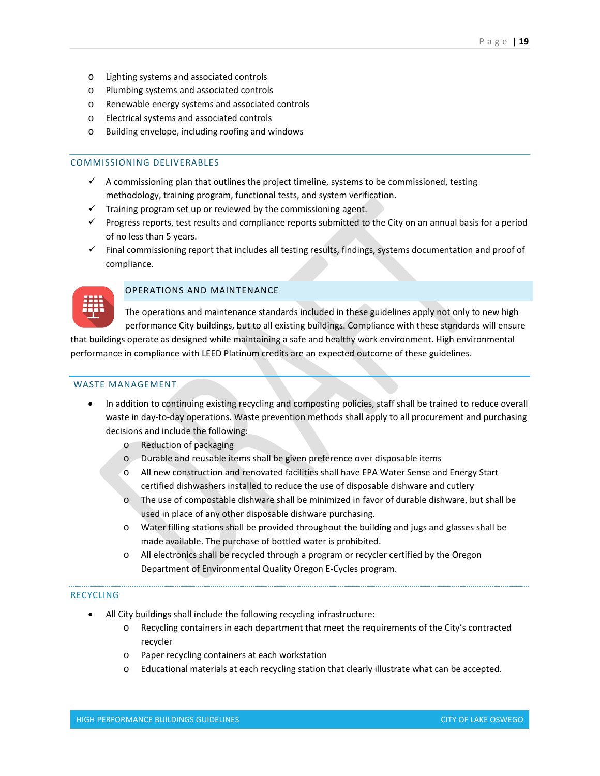- o Lighting systems and associated controls
- o Plumbing systems and associated controls
- o Renewable energy systems and associated controls
- o Electrical systems and associated controls
- o Building envelope, including roofing and windows

### COMMISSIONING DELIVERABLES

- $\checkmark$  A commissioning plan that outlines the project timeline, systems to be commissioned, testing methodology, training program, functional tests, and system verification.
- $\checkmark$  Training program set up or reviewed by the commissioning agent.
- Progress reports, test results and compliance reports submitted to the City on an annual basis for a period of no less than 5 years.
- $\checkmark$  Final commissioning report that includes all testing results, findings, systems documentation and proof of compliance.



# OPERATIONS AND MAINTENANCE

The operations and maintenance standards included in these guidelines apply not only to new high performance City buildings, but to all existing buildings. Compliance with these standards will ensure

that buildings operate as designed while maintaining a safe and healthy work environment. High environmental performance in compliance with LEED Platinum credits are an expected outcome of these guidelines.

## WASTE MANAGEMENT

- In addition to continuing existing recycling and composting policies, staff shall be trained to reduce overall waste in day-to-day operations. Waste prevention methods shall apply to all procurement and purchasing decisions and include the following:
	- o Reduction of packaging
	- o Durable and reusable items shall be given preference over disposable items
	- o All new construction and renovated facilities shall have EPA Water Sense and Energy Start certified dishwashers installed to reduce the use of disposable dishware and cutlery
	- o The use of compostable dishware shall be minimized in favor of durable dishware, but shall be used in place of any other disposable dishware purchasing.
	- o Water filling stations shall be provided throughout the building and jugs and glasses shall be made available. The purchase of bottled water is prohibited.
	- o All electronics shall be recycled through a program or recycler certified by the Oregon Department of Environmental Quality Oregon E-Cycles program.

#### RECYCLING

- All City buildings shall include the following recycling infrastructure:
	- o Recycling containers in each department that meet the requirements of the City's contracted recycler
	- o Paper recycling containers at each workstation
	- Educational materials at each recycling station that clearly illustrate what can be accepted.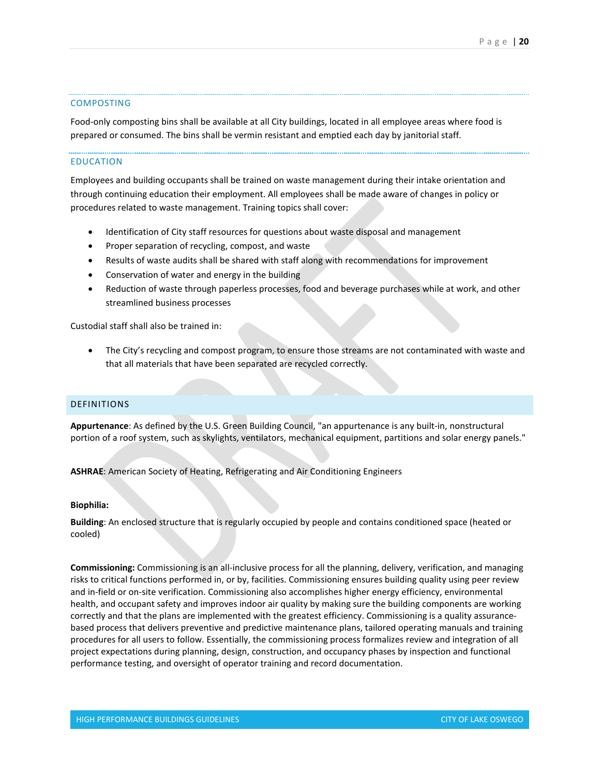#### COMPOSTING

Food-only composting bins shall be available at all City buildings, located in all employee areas where food is prepared or consumed. The bins shall be vermin resistant and emptied each day by janitorial staff.

#### EDUCATION

Employees and building occupants shall be trained on waste management during their intake orientation and through continuing education their employment. All employees shall be made aware of changes in policy or procedures related to waste management. Training topics shall cover:

- Identification of City staff resources for questions about waste disposal and management
- Proper separation of recycling, compost, and waste
- Results of waste audits shall be shared with staff along with recommendations for improvement
- Conservation of water and energy in the building
- Reduction of waste through paperless processes, food and beverage purchases while at work, and other streamlined business processes

Custodial staff shall also be trained in:

The City's recycling and compost program, to ensure those streams are not contaminated with waste and that all materials that have been separated are recycled correctly.

## DEFINITIONS

**Appurtenance**: As defined by the U.S. Green Building Council, "an appurtenance is any built-in, nonstructural portion of a roof system, such as skylights, ventilators, mechanical equipment, partitions and solar energy panels."

**ASHRAE**: American Society of Heating, Refrigerating and Air Conditioning Engineers

#### **Biophilia:**

**Building**: An enclosed structure that is regularly occupied by people and contains conditioned space (heated or cooled)

**Commissioning:** Commissioning is an all-inclusive process for all the planning, delivery, verification, and managing risks to critical functions performed in, or by, facilities. Commissioning ensures building quality using peer review and in-field or on-site verification. Commissioning also accomplishes higher energy efficiency, environmental health, and occupant safety and improves indoor air quality by making sure the building components are working correctly and that the plans are implemented with the greatest efficiency. Commissioning is a quality assurancebased process that delivers preventive and predictive maintenance plans, tailored operating manuals and training procedures for all users to follow. Essentially, the commissioning process formalizes review and integration of all project expectations during planning, design, construction, and occupancy phases by inspection and functional performance testing, and oversight of operator training and record documentation.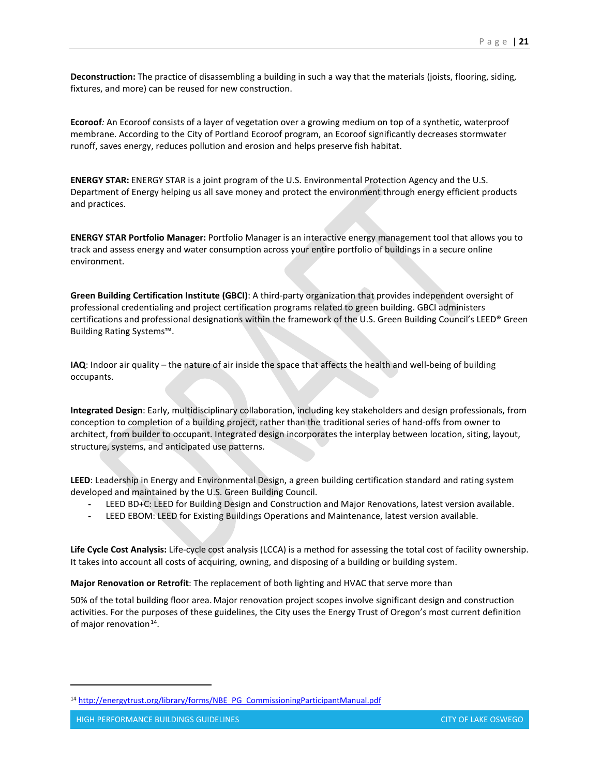**Deconstruction:** The practice of disassembling a building in such a way that the materials (joists, flooring, siding, fixtures, and more) can be reused for new construction.

**Ecoroof***:* An Ecoroof consists of a layer of vegetation over a growing medium on top of a synthetic, waterproof membrane. According to the City of Portland Ecoroof program, an Ecoroof significantly decreases stormwater runoff, saves energy, reduces pollution and erosion and helps preserve fish habitat.

**ENERGY STAR:** ENERGY STAR is a joint program of the U.S. Environmental Protection Agency and the U.S. Department of Energy helping us all save money and protect the environment through energy efficient products and practices.

**ENERGY STAR Portfolio Manager:** Portfolio Manager is an interactive energy management tool that allows you to track and assess energy and water consumption across your entire portfolio of buildings in a secure online environment.

**Green Building Certification Institute (GBCI)**: A third-party organization that provides independent oversight of professional credentialing and project certification programs related to green building. GBCI administers certifications and professional designations within the framework of the U.S. Green Building Council's LEED® Green Building Rating Systems™.

**IAQ**: Indoor air quality – the nature of air inside the space that affects the health and well-being of building occupants.

**Integrated Design**: Early, multidisciplinary collaboration, including key stakeholders and design professionals, from conception to completion of a building project, rather than the traditional series of hand-offs from owner to architect, from builder to occupant. Integrated design incorporates the interplay between location, siting, layout, structure, systems, and anticipated use patterns.

**LEED**: Leadership in Energy and Environmental Design, a green building certification standard and rating system developed and maintained by the U.S. Green Building Council.

- **-** LEED BD+C: LEED for Building Design and Construction and Major Renovations, latest version available.
- **-** LEED EBOM: LEED for Existing Buildings Operations and Maintenance, latest version available.

**Life Cycle Cost Analysis:** Life-cycle cost analysis (LCCA) is a method for assessing the total cost of facility ownership. It takes into account all costs of acquiring, owning, and disposing of a building or building system.

**Major Renovation or Retrofit**: The replacement of both lighting and HVAC that serve more than

50% of the total building floor area. Major renovation project scopes involve significant design and construction activities. For the purposes of these guidelines, the City uses the Energy Trust of Oregon's most current definition of major renovation $^{14}$  $^{14}$  $^{14}$ .

<span id="page-20-0"></span><sup>14</sup> [http://energytrust.org/library/forms/NBE\\_PG\\_CommissioningParticipantManual.pdf](http://energytrust.org/library/forms/NBE_PG_CommissioningParticipantManual.pdf)